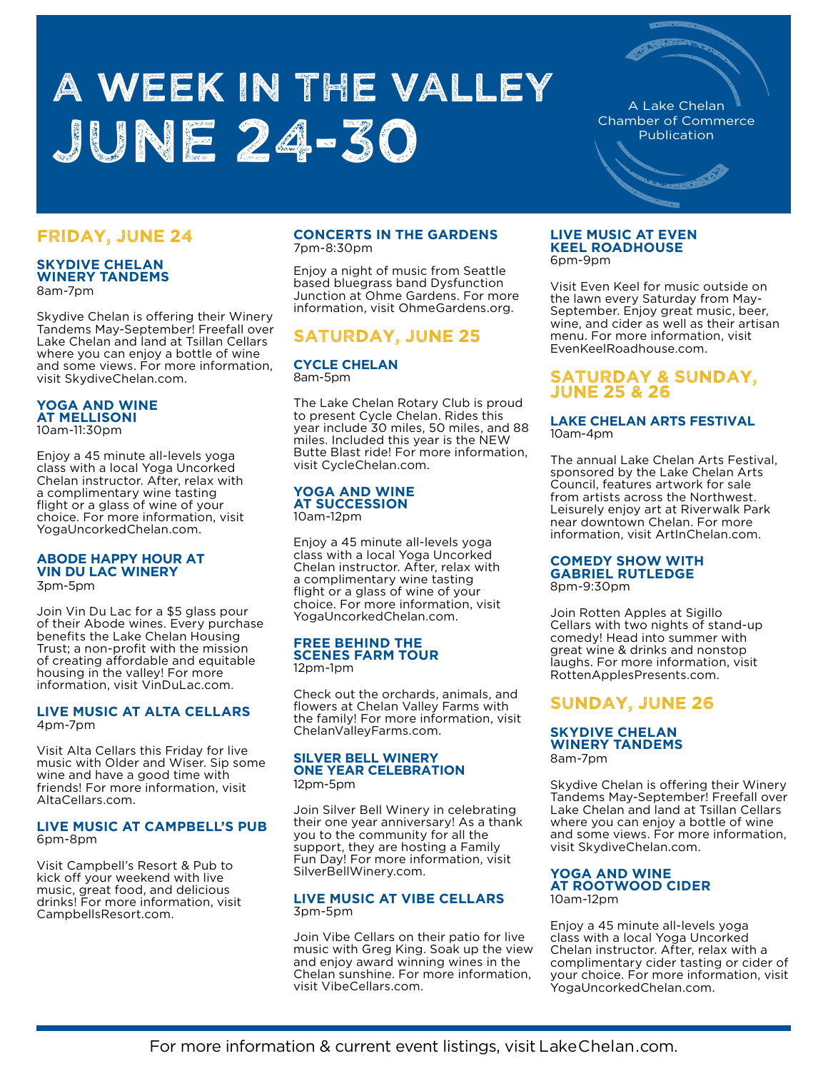# A WEEK IN THE VALLEY June 24-30

A Lake Chelan Chamber of Commerce Publication

## FRIDAY, JUNE 24

#### **SKYDIVE CHELAN WINERY TANDEMS** 8am-7pm

Skydive Chelan is offering their Winery Tandems May-September! Freefall over Lake Chelan and land at Tsillan Cellars where you can enjoy a bottle of wine and some views. For more information, visit SkydiveChelan.com.

#### **YOGA AND WINE AT MELLISONI**  10am-11:30pm

Enjoy a 45 minute all-levels yoga class with a local Yoga Uncorked Chelan instructor. After, relax with a complimentary wine tasting flight or a glass of wine of your choice. For more information, visit YogaUncorkedChelan.com.

## **ABODE HAPPY HOUR AT VIN DU LAC WINERY**

3pm-5pm

Join Vin Du Lac for a \$5 glass pour of their Abode wines. Every purchase benefits the Lake Chelan Housing Trust; a non-profit with the mission of creating affordable and equitable housing in the valley! For more information, visit VinDuLac.com.

#### **LIVE MUSIC AT ALTA CELLARS**  4pm-7pm

Visit Alta Cellars this Friday for live music with Older and Wiser. Sip some wine and have a good time with friends! For more information, visit AltaCellars.com.

#### **LIVE MUSIC AT CAMPBELL'S PUB** 6pm-8pm

Visit Campbell's Resort & Pub to kick off your weekend with live music, great food, and delicious drinks! For more information, visit CampbellsResort.com.

#### **CONCERTS IN THE GARDENS**  7pm-8:30pm

Enjoy a night of music from Seattle based bluegrass band Dysfunction Junction at Ohme Gardens. For more information, visit OhmeGardens.org.

# SATURDAY, JUNE 25

#### **CYCLE CHELAN**  8am-5pm

The Lake Chelan Rotary Club is proud to present Cycle Chelan. Rides this year include 30 miles, 50 miles, and 88 miles. Included this year is the NEW Butte Blast ride! For more information, visit CycleChelan.com.

## **YOGA AND WINE AT SUCCESSION**

10am-12pm

Enjoy a 45 minute all-levels yoga class with a local Yoga Uncorked Chelan instructor. After, relax with a complimentary wine tasting flight or a glass of wine of your choice. For more information, visit YogaUncorkedChelan.com.

#### **FREE BEHIND THE SCENES FARM TOUR**  12pm-1pm

Check out the orchards, animals, and flowers at Chelan Valley Farms with the family! For more information, visit ChelanValleyFarms.com.

#### **SILVER BELL WINERY ONE YEAR CELEBRATION**  12pm-5pm

Join Silver Bell Winery in celebrating their one year anniversary! As a thank you to the community for all the support, they are hosting a Family Fun Day! For more information, visit SilverBellWinery.com.

# **LIVE MUSIC AT VIBE CELLARS** 3pm-5pm

Join Vibe Cellars on their patio for live music with Greg King. Soak up the view and enjoy award winning wines in the Chelan sunshine. For more information, visit VibeCellars.com.

#### **LIVE MUSIC AT EVEN KEEL ROADHOUSE**  6pm-9pm

Visit Even Keel for music outside on the lawn every Saturday from May-September. Enjoy great music, beer, wine, and cider as well as their artisan menu. For more information, visit EvenKeelRoadhouse.com.

## SATURDAY & SUNDAY, JUNE 25 & 26

#### **LAKE CHELAN ARTS FESTIVAL**  10am-4pm

The annual Lake Chelan Arts Festival, sponsored by the Lake Chelan Arts Council, features artwork for sale from artists across the Northwest. Leisurely enjoy art at Riverwalk Park near downtown Chelan. For more information, visit ArtInChelan.com.

### **COMEDY SHOW WITH GABRIEL RUTLEDGE**

8pm-9:30pm

Join Rotten Apples at Sigillo Cellars with two nights of stand-up comedy! Head into summer with great wine & drinks and nonstop laughs. For more information, visit RottenApplesPresents.com.

# SUNDAY, JUNE 26

### **SKYDIVE CHELAN WINERY TANDEMS** 8am-7pm

Skydive Chelan is offering their Winery Tandems May-September! Freefall over Lake Chelan and land at Tsillan Cellars where you can enjoy a bottle of wine and some views. For more information, visit SkydiveChelan.com.

#### **YOGA AND WINE AT ROOTWOOD CIDER**  10am-12pm

Enjoy a 45 minute all-levels yoga class with a local Yoga Uncorked Chelan instructor. After, relax with a complimentary cider tasting or cider of your choice. For more information, visit YogaUncorkedChelan.com.